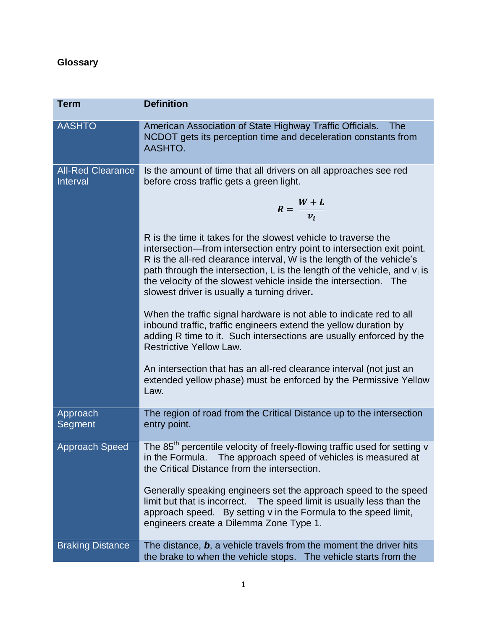## **Glossary**

| <b>Term</b>                          | <b>Definition</b>                                                                                                                                                                                                                                                                                                                                                                                                   |
|--------------------------------------|---------------------------------------------------------------------------------------------------------------------------------------------------------------------------------------------------------------------------------------------------------------------------------------------------------------------------------------------------------------------------------------------------------------------|
| <b>AASHTO</b>                        | American Association of State Highway Traffic Officials.<br><b>The</b><br>NCDOT gets its perception time and deceleration constants from<br>AASHTO.                                                                                                                                                                                                                                                                 |
| <b>All-Red Clearance</b><br>Interval | Is the amount of time that all drivers on all approaches see red<br>before cross traffic gets a green light.                                                                                                                                                                                                                                                                                                        |
|                                      | $R = \frac{W + L}{v_i}$                                                                                                                                                                                                                                                                                                                                                                                             |
|                                      | R is the time it takes for the slowest vehicle to traverse the<br>intersection—from intersection entry point to intersection exit point.<br>R is the all-red clearance interval, W is the length of the vehicle's<br>path through the intersection, L is the length of the vehicle, and $v_i$ is<br>the velocity of the slowest vehicle inside the intersection. The<br>slowest driver is usually a turning driver. |
|                                      | When the traffic signal hardware is not able to indicate red to all<br>inbound traffic, traffic engineers extend the yellow duration by<br>adding R time to it. Such intersections are usually enforced by the<br><b>Restrictive Yellow Law.</b>                                                                                                                                                                    |
|                                      | An intersection that has an all-red clearance interval (not just an<br>extended yellow phase) must be enforced by the Permissive Yellow<br>Law.                                                                                                                                                                                                                                                                     |
| Approach<br>Segment                  | The region of road from the Critical Distance up to the intersection<br>entry point.                                                                                                                                                                                                                                                                                                                                |
| <b>Approach Speed</b>                | The 85 <sup>th</sup> percentile velocity of freely-flowing traffic used for setting v<br>in the Formula.<br>The approach speed of vehicles is measured at<br>the Critical Distance from the intersection.                                                                                                                                                                                                           |
|                                      | Generally speaking engineers set the approach speed to the speed<br>limit but that is incorrect. The speed limit is usually less than the<br>approach speed. By setting v in the Formula to the speed limit,<br>engineers create a Dilemma Zone Type 1.                                                                                                                                                             |
| <b>Braking Distance</b>              | The distance, $b$ , a vehicle travels from the moment the driver hits<br>the brake to when the vehicle stops. The vehicle starts from the                                                                                                                                                                                                                                                                           |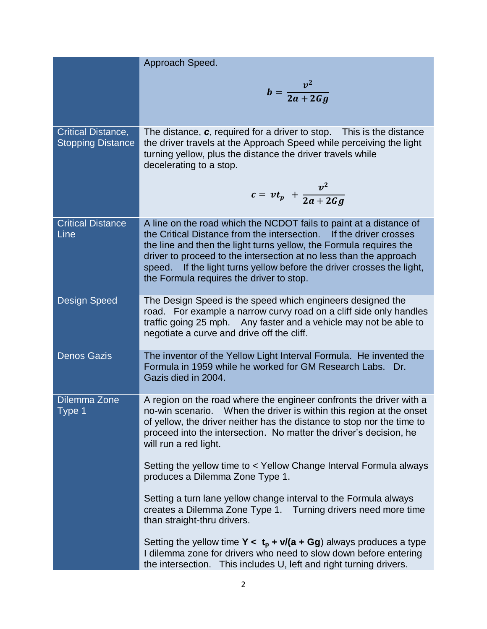|                                                | Approach Speed.                                                                                                                                                                                                                                                                                                                                                                                                 |
|------------------------------------------------|-----------------------------------------------------------------------------------------------------------------------------------------------------------------------------------------------------------------------------------------------------------------------------------------------------------------------------------------------------------------------------------------------------------------|
|                                                | $b=\frac{v^2}{2a+2Ga}$                                                                                                                                                                                                                                                                                                                                                                                          |
| Critical Distance,<br><b>Stopping Distance</b> | The distance, $c$ , required for a driver to stop. This is the distance<br>the driver travels at the Approach Speed while perceiving the light<br>turning yellow, plus the distance the driver travels while<br>decelerating to a stop.                                                                                                                                                                         |
|                                                | $c = vt_p + \frac{v^2}{2a + 2Ga}$                                                                                                                                                                                                                                                                                                                                                                               |
| <b>Critical Distance</b><br>Line               | A line on the road which the NCDOT fails to paint at a distance of<br>the Critical Distance from the intersection.<br>If the driver crosses<br>the line and then the light turns yellow, the Formula requires the<br>driver to proceed to the intersection at no less than the approach<br>If the light turns yellow before the driver crosses the light,<br>speed.<br>the Formula requires the driver to stop. |
| <b>Design Speed</b>                            | The Design Speed is the speed which engineers designed the<br>road. For example a narrow curvy road on a cliff side only handles<br>traffic going 25 mph. Any faster and a vehicle may not be able to<br>negotiate a curve and drive off the cliff.                                                                                                                                                             |
| <b>Denos Gazis</b>                             | The inventor of the Yellow Light Interval Formula. He invented the<br>Formula in 1959 while he worked for GM Research Labs. Dr.<br>Gazis died in 2004.                                                                                                                                                                                                                                                          |
| Dilemma Zone<br>Type 1                         | A region on the road where the engineer confronts the driver with a<br>no-win scenario. When the driver is within this region at the onset<br>of yellow, the driver neither has the distance to stop nor the time to<br>proceed into the intersection. No matter the driver's decision, he<br>will run a red light.                                                                                             |
|                                                | Setting the yellow time to < Yellow Change Interval Formula always<br>produces a Dilemma Zone Type 1.                                                                                                                                                                                                                                                                                                           |
|                                                | Setting a turn lane yellow change interval to the Formula always<br>creates a Dilemma Zone Type 1. Turning drivers need more time<br>than straight-thru drivers.                                                                                                                                                                                                                                                |
|                                                | Setting the yellow time $Y < t_p + v/(a + Gg)$ always produces a type<br>I dilemma zone for drivers who need to slow down before entering<br>the intersection. This includes U, left and right turning drivers.                                                                                                                                                                                                 |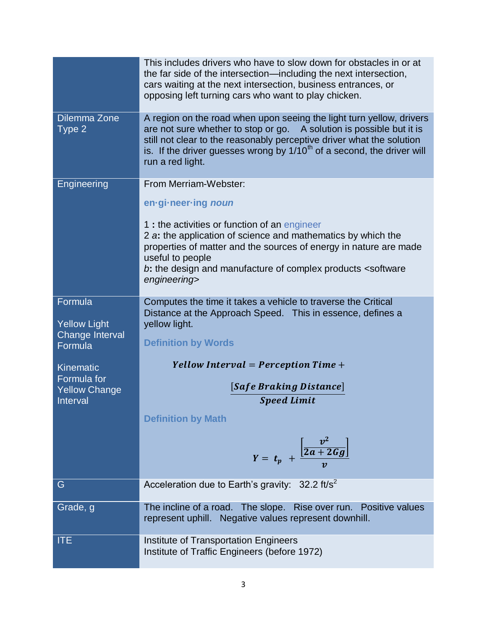|                                     | This includes drivers who have to slow down for obstacles in or at<br>the far side of the intersection—including the next intersection,<br>cars waiting at the next intersection, business entrances, or<br>opposing left turning cars who want to play chicken.                                                      |
|-------------------------------------|-----------------------------------------------------------------------------------------------------------------------------------------------------------------------------------------------------------------------------------------------------------------------------------------------------------------------|
| Dilemma Zone<br>Type 2              | A region on the road when upon seeing the light turn yellow, drivers<br>are not sure whether to stop or go. A solution is possible but it is<br>still not clear to the reasonably perceptive driver what the solution<br>is. If the driver guesses wrong by $1/10th$ of a second, the driver will<br>run a red light. |
| Engineering                         | From Merriam-Webster:                                                                                                                                                                                                                                                                                                 |
|                                     | en-gi-neer-ing noun                                                                                                                                                                                                                                                                                                   |
|                                     | 1 : the activities or function of an engineer<br>2 a: the application of science and mathematics by which the<br>properties of matter and the sources of energy in nature are made<br>useful to people<br>b: the design and manufacture of complex products <software<br>engineering&gt;</software<br>                |
| Formula                             | Computes the time it takes a vehicle to traverse the Critical<br>Distance at the Approach Speed. This in essence, defines a                                                                                                                                                                                           |
| <b>Yellow Light</b>                 | yellow light.                                                                                                                                                                                                                                                                                                         |
| Change Interval<br>Formula          | <b>Definition by Words</b>                                                                                                                                                                                                                                                                                            |
| Kinematic                           | Yellow Interval = Perception Time +                                                                                                                                                                                                                                                                                   |
| Formula for<br><b>Yellow Change</b> | [Safe Braking Distance]                                                                                                                                                                                                                                                                                               |
| <b>Interval</b>                     | <b>Speed Limit</b>                                                                                                                                                                                                                                                                                                    |
|                                     | <b>Definition by Math</b>                                                                                                                                                                                                                                                                                             |
|                                     | $Y = t_p + \frac{\left[\frac{v^2}{2a + 2Gg}\right]}{v}$                                                                                                                                                                                                                                                               |
| G                                   | Acceleration due to Earth's gravity: 32.2 ft/s <sup>2</sup>                                                                                                                                                                                                                                                           |
| Grade, g                            | The incline of a road. The slope. Rise over run. Positive values<br>represent uphill. Negative values represent downhill.                                                                                                                                                                                             |
| <b>ITE</b>                          | Institute of Transportation Engineers<br>Institute of Traffic Engineers (before 1972)                                                                                                                                                                                                                                 |